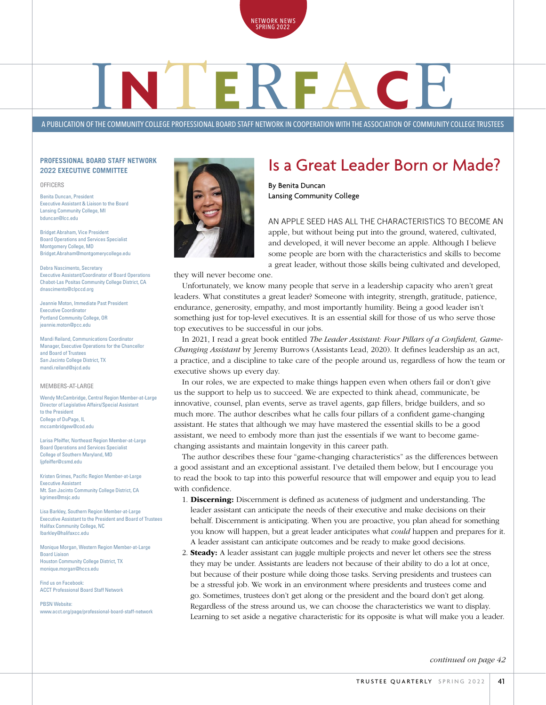

# **A PUBLICATION OF THE COMMUNITY COLLEGE PROFESSIONAL BOARD STAFF NETWORK IN COOPERATION WITH THE ASSOCIATION OF COMMUNITY COLLEGE TRUSTEES**

### **PROFESSIONAL BOARD STAFF NETWORK 2022 EXECUTIVE COMMITTEE**

#### OFFICERS

Benita Duncan, President Executive Assistant & Liaison to the Board Lansing Community College, MI bduncan@lcc.edu

Bridget Abraham, Vice President Board Operations and Services Specialist Montgomery College, MD Bridget.Abraham@montgomerycollege.edu

Debra Nascimento, Secretary Executive Assistant/Coordinator of Board Operations Chabot-Las Positas Community College District, CA dnascimento@clpccd.org

Jeannie Moton, Immediate Past President Executive Coordinator Portland Community College, OR jeannie.moton@pcc.edu

Mandi Reiland, Communications Coordinator Manager, Executive Operations for the Chancellor and Board of Trustees San Jacinto College District, TX mandi.reiland@sjcd.edu

#### MEMBERS-AT-LARGE

Wendy McCambridge, Central Region Member-at-Large Director of Legislative Affairs/Special Assistant to the President College of DuPage, IL mccambridgew@cod.edu

Larisa Pfeiffer, Northeast Region Member-at-Large Board Operations and Services Specialist College of Southern Maryland, MD lipfeiffer@csmd.edu

Kristen Grimes, Pacific Region Member-at-Large Executive Assistant Mt. San Jacinto Community College District, CA kgrimes@msjc.edu

Lisa Barkley, Southern Region Member-at-Large Executive Assistant to the President and Board of Trustees Halifax Community College, NC lbarkley@halifaxcc.edu

Monique Morgan, Western Region Member-at-Large Board Liaison Houston Community College District, TX monique.morgan@hccs.edu

Find us on Facebook: ACCT Professional Board Staff Network

PBSN Website: www.acct.org/page/professional-board-staff-network



### Is a Great Leader Born or Made?

By Benita Duncan Lansing Community College

AN APPLE SEED HAS ALL THE CHARACTERISTICS TO BECOME AN apple, but without being put into the ground, watered, cultivated, and developed, it will never become an apple. Although I believe some people are born with the characteristics and skills to become a great leader, without those skills being cultivated and developed,

they will never become one.

Unfortunately, we know many people that serve in a leadership capacity who aren't great leaders. What constitutes a great leader? Someone with integrity, strength, gratitude, patience, endurance, generosity, empathy, and most importantly humility. Being a good leader isn't something just for top-level executives. It is an essential skill for those of us who serve those top executives to be successful in our jobs.

In 2021, I read a great book entitled *The Leader Assistant: Four Pillars of a Confident, Game-Changing Assistant* by Jeremy Burrows (Assistants Lead, 2020). It defines leadership as an act, a practice, and a discipline to take care of the people around us, regardless of how the team or executive shows up every day.

In our roles, we are expected to make things happen even when others fail or don't give us the support to help us to succeed. We are expected to think ahead, communicate, be innovative, counsel, plan events, serve as travel agents, gap fillers, bridge builders, and so much more. The author describes what he calls four pillars of a confident game-changing assistant. He states that although we may have mastered the essential skills to be a good assistant, we need to embody more than just the essentials if we want to become gamechanging assistants and maintain longevity in this career path.

The author describes these four "game-changing characteristics" as the differences between a good assistant and an exceptional assistant. I've detailed them below, but I encourage you to read the book to tap into this powerful resource that will empower and equip you to lead with confidence.

- 1. Discerning: Discernment is defined as acuteness of judgment and understanding. The leader assistant can anticipate the needs of their executive and make decisions on their behalf. Discernment is anticipating. When you are proactive, you plan ahead for something you know will happen, but a great leader anticipates what *could* happen and prepares for it. A leader assistant can anticipate outcomes and be ready to make good decisions.
- 2. Steady: A leader assistant can juggle multiple projects and never let others see the stress they may be under. Assistants are leaders not because of their ability to do a lot at once, but because of their posture while doing those tasks. Serving presidents and trustees can be a stressful job. We work in an environment where presidents and trustees come and go. Sometimes, trustees don't get along or the president and the board don't get along. Regardless of the stress around us, we can choose the characteristics we want to display. Learning to set aside a negative characteristic for its opposite is what will make you a leader.

*continued on page 42*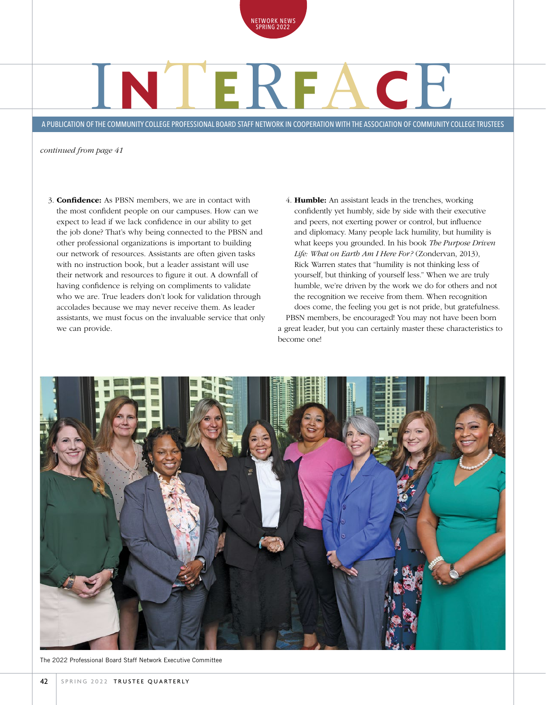

# I**N**T**E**R**F**A**C**E

A PUBLICATION OF THE COMMUNITY COLLEGE PROFESSIONAL BOARD STAFF NETWORK IN COOPERATION WITH THE ASSOCIATION OF COMMUNITY COLLEGE TRUSTEES

*continued from page 41*

- 3. Confidence: As PBSN members, we are in contact with the most confident people on our campuses. How can we expect to lead if we lack confidence in our ability to get the job done? That's why being connected to the PBSN and other professional organizations is important to building our network of resources. Assistants are often given tasks with no instruction book, but a leader assistant will use their network and resources to figure it out. A downfall of having confidence is relying on compliments to validate who we are. True leaders don't look for validation through accolades because we may never receive them. As leader assistants, we must focus on the invaluable service that only we can provide.
- 4. Humble: An assistant leads in the trenches, working confidently yet humbly, side by side with their executive and peers, not exerting power or control, but influence and diplomacy. Many people lack humility, but humility is what keeps you grounded. In his book *The Purpose Driven Life: What on Earth Am I Here For?* (Zondervan, 2013), Rick Warren states that "humility is not thinking less of yourself, but thinking of yourself less." When we are truly humble, we're driven by the work we do for others and not the recognition we receive from them. When recognition does come, the feeling you get is not pride, but gratefulness. PBSN members, be encouraged! You may not have been born a great leader, but you can certainly master these characteristics to become one!



The 2022 Professional Board Staff Network Executive Committee